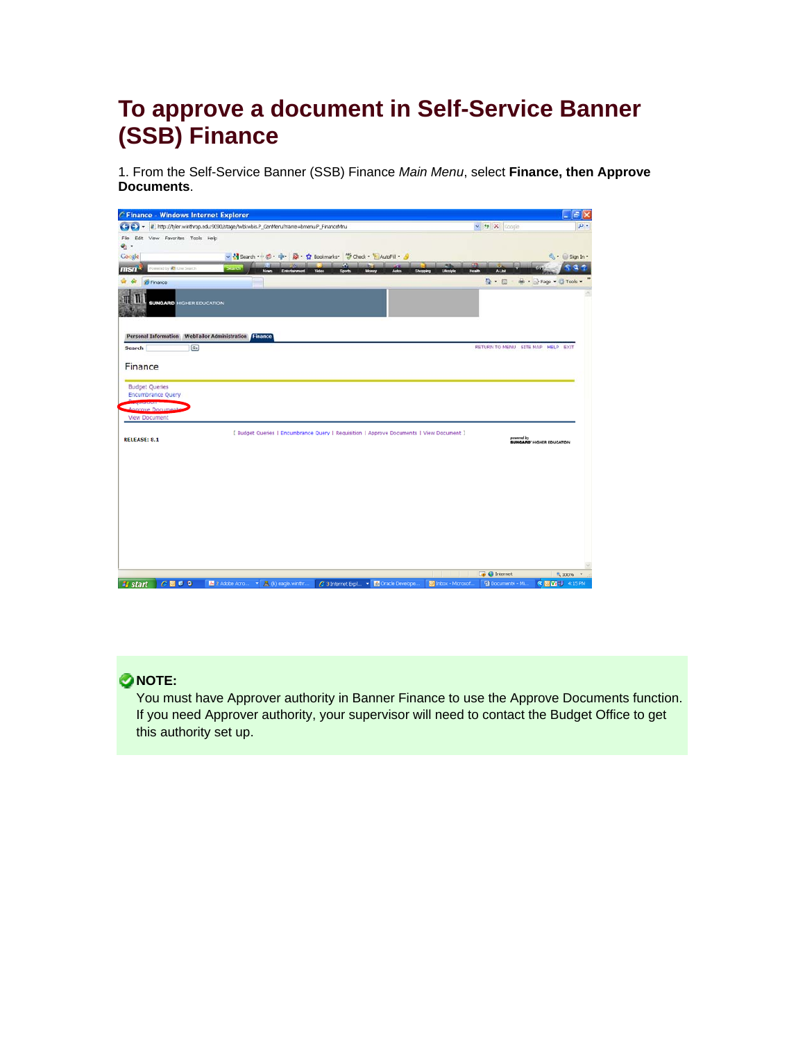# **To approve a document in Self-Service Banner (SSB) Finance**

1. From the Self-Service Banner (SSB) Finance *Main Menu*, select **Finance, then Approve Documents**.

|                                                                                                   | $ \mathbb{E}$ $\times$                               |
|---------------------------------------------------------------------------------------------------|------------------------------------------------------|
| iii http://tyler.winthrop.edu:9090/stage/twbkwbis.P_GenMenu?name=bmenu.P_FinanceMnu               | $\vee$ $\rightarrow$ $X$ coople                      |
| File Edit View Favorites Tools Help<br>高.                                                         |                                                      |
| → Mi Search · ○ ○ · 中 國 · ☆ Bookmarks · 学 Check · ■ AutoFill · 』<br>Google                        | $\mathbb{Q}$ - $\oplus$ Sign In -                    |
| Đ.<br>Fowered by # Live Search<br>$msn-$<br>search.                                               |                                                      |
| <b>Massac</b><br><b>End</b>                                                                       | Lifestyle<br><b>Health</b><br>ALM<br>Showning        |
| <b>29 Finance</b>                                                                                 | $\mathbf{G}$ . $\mathbf{G}$<br>m · prage · O Tools · |
| <b>SUNGARD HIGHER EDUCATION</b>                                                                   |                                                      |
| Personal Information WebTailor Administration Finance<br>$\overline{\mathbb{G}_{\Phi}}$<br>Search | RETURN TO MENU SITE MAP HELP EXIT                    |
| Finance                                                                                           |                                                      |
|                                                                                                   |                                                      |
| <b>Budget Queries</b>                                                                             |                                                      |
|                                                                                                   |                                                      |
| Encumbrance Query                                                                                 |                                                      |
| Annroye Documen                                                                                   |                                                      |
| View Document                                                                                     |                                                      |
|                                                                                                   |                                                      |
| [ Budget Queries   Encumbrance Query   Requisition   Approve Documents   View Document ]          |                                                      |
|                                                                                                   | powered by<br><b>SUNGARD'</b> HIGHER EDUCATION       |
|                                                                                                   |                                                      |
|                                                                                                   |                                                      |
|                                                                                                   |                                                      |
|                                                                                                   |                                                      |
|                                                                                                   |                                                      |
|                                                                                                   |                                                      |
|                                                                                                   |                                                      |
|                                                                                                   |                                                      |
| <b>RELEASE: 8.1</b>                                                                               |                                                      |
|                                                                                                   |                                                      |
|                                                                                                   |                                                      |
|                                                                                                   | $\Box \bullet \Theta$ Internet<br>气100% *            |

#### **ONOTE:**

You must have Approver authority in Banner Finance to use the Approve Documents function. If you need Approver authority, your supervisor will need to contact the Budget Office to get this authority set up.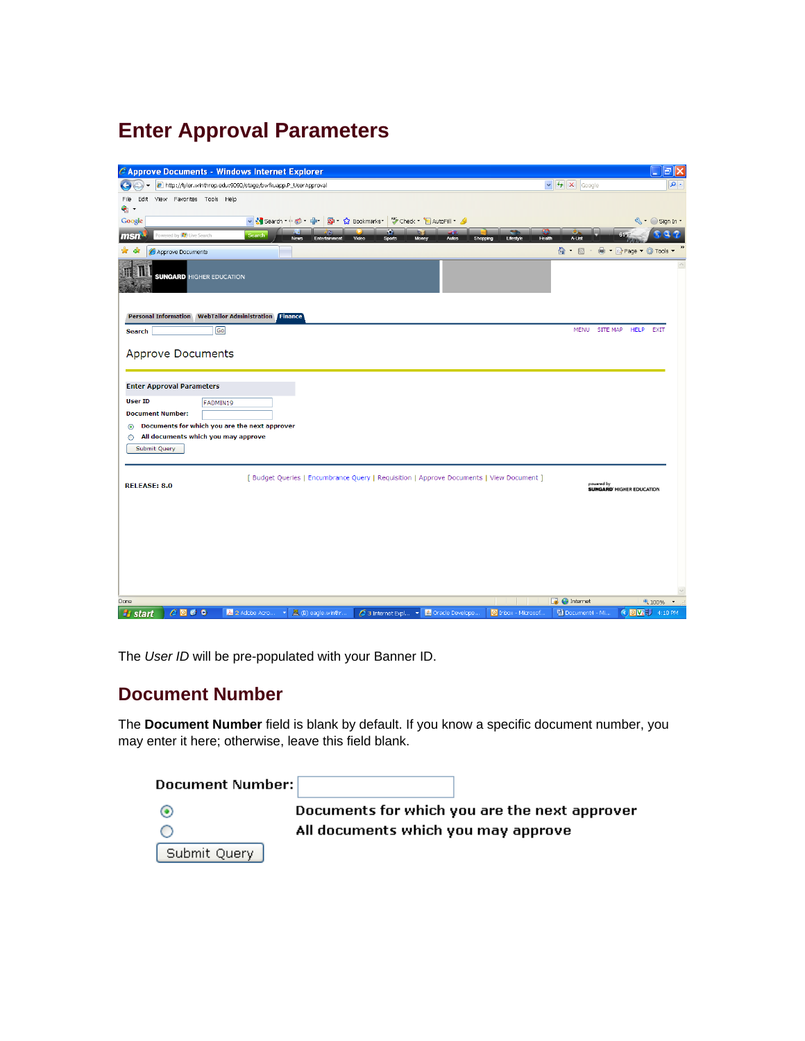# **Enter Approval Parameters**

| C Approve Documents - Windows Internet Explorer                                                                                                                 |                                      | ⊩⊟ ×<br>H                        |
|-----------------------------------------------------------------------------------------------------------------------------------------------------------------|--------------------------------------|----------------------------------|
| http://tyler.winthrop.edu:9090/stage/bwfkuapp.P_UserApproval                                                                                                    | $\vee$ $\rightarrow$ $\times$ Google | $\alpha$                         |
| Edit View Favorites Tools Help<br>File                                                                                                                          |                                      |                                  |
| $\bullet$ .<br>Google                                                                                                                                           |                                      | S + Sign In +                    |
| Powered by <b>(C)</b> Live Search<br><b>Search</b>                                                                                                              |                                      |                                  |
| msn <sup>.</sup><br><b>News</b><br>Entertainme<br>Video<br><b>Sports</b><br>Mone:<br>Autos<br>Shopping<br>Lifestyle<br>☆ ☆                                      | A-List<br>Health<br>$\hat{a}$ . E    | ■ ▼ ☆ Page ▼ ☆ Tools ▼           |
| Approve Documents                                                                                                                                               |                                      |                                  |
| <b>SUNGARD</b> HIGHER EDUCATION                                                                                                                                 |                                      |                                  |
| Personal Information WebTailor Administration Finance                                                                                                           |                                      |                                  |
| [Go]<br><b>Search</b>                                                                                                                                           |                                      | MENU SITE MAP HELP EXIT          |
| <b>Approve Documents</b>                                                                                                                                        |                                      |                                  |
| <b>Enter Approval Parameters</b>                                                                                                                                |                                      |                                  |
| <b>User ID</b><br>FADMIN19                                                                                                                                      |                                      |                                  |
| <b>Document Number:</b>                                                                                                                                         |                                      |                                  |
| Documents for which you are the next approver<br>$\odot$                                                                                                        |                                      |                                  |
| All documents which you may approve<br>Ω<br>Submit Query                                                                                                        |                                      |                                  |
| [ Budget Queries   Encumbrance Query   Requisition   Approve Documents   View Document ]<br><b>RELEASE: 8.0</b>                                                 | powered by                           | <b>SUNGARD' HIGHER EDUCATION</b> |
|                                                                                                                                                                 |                                      |                                  |
|                                                                                                                                                                 |                                      |                                  |
|                                                                                                                                                                 |                                      |                                  |
|                                                                                                                                                                 |                                      |                                  |
|                                                                                                                                                                 |                                      |                                  |
|                                                                                                                                                                 |                                      |                                  |
| Done                                                                                                                                                            | <b>D</b> Internet                    | <b>€ 100% →</b>                  |
| $C$ <b>D</b> $C$ <b>O</b><br>A 2 Adobe Acro ▼ 黑 (B) eagle.winthr<br>○ 3 Internet Expl ▼ 4 Oracle Develope<br>O Inbox - Microsof<br><b><i><b>L</b></i></b> start | <sup>四</sup> Document4 - Mi          | <b>COVE</b> 7 4:18 PM            |

The *User ID* will be pre-populated with your Banner ID.

#### **Document Number**

The **Document Number** field is blank by default. If you know a specific document number, you may enter it here; otherwise, leave this field blank.

| Document Number: |                                               |
|------------------|-----------------------------------------------|
|                  | Documents for which you are the next approver |
|                  | All documents which you may approve           |
| Submit Query     |                                               |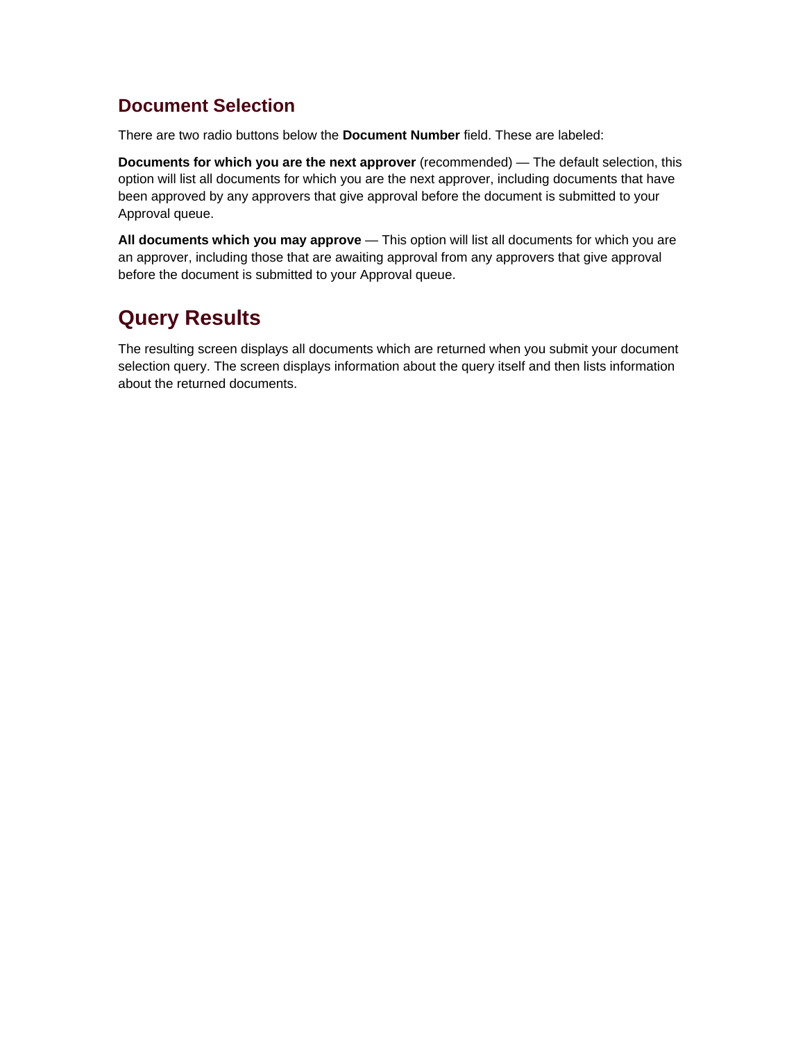### **Document Selection**

There are two radio buttons below the **Document Number** field. These are labeled:

**Documents for which you are the next approver** (recommended) — The default selection, this option will list all documents for which you are the next approver, including documents that have been approved by any approvers that give approval before the document is submitted to your Approval queue.

**All documents which you may approve** — This option will list all documents for which you are an approver, including those that are awaiting approval from any approvers that give approval before the document is submitted to your Approval queue.

## **Query Results**

The resulting screen displays all documents which are returned when you submit your document selection query. The screen displays information about the query itself and then lists information about the returned documents.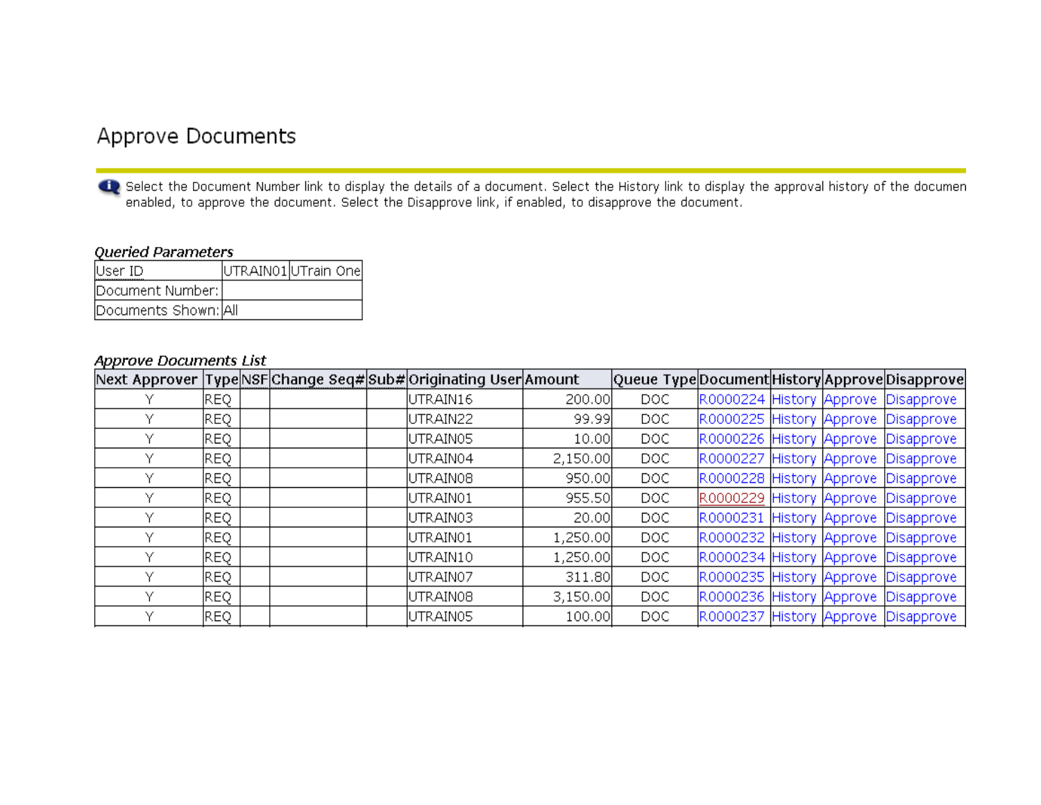## Approve Documents

dig Select the Document Number link to display the details of a document. Select the History link to display the approval history of the documen enabled, to approve the document. Select the Disapprove link, if enabled, to disapprove the document.

#### Queried Parameters

| User ID              | UTRAIN01 UTrain One |  |
|----------------------|---------------------|--|
| Document Number:     |                     |  |
| Documents Shown: All |                     |  |

#### **Approve Documents List**

|   |      |  | Next Approver TypeNSFChange Seq#Sub#Originating UserAmount |          | Queue TypeDocument History Approve Disapprove |  |                                     |
|---|------|--|------------------------------------------------------------|----------|-----------------------------------------------|--|-------------------------------------|
|   | REQ. |  | UTRAIN16                                                   | 200.00   | DOC.                                          |  | R0000224 History Approve Disapprove |
|   | REQ  |  | UTRAIN22                                                   | 99.99    | DOC.                                          |  | R0000225 History Approve Disapprove |
| v | REQ  |  | UTRAIN05                                                   | 10.00    | DOC.                                          |  | R0000226 History Approve Disapprove |
| v | REQ. |  | UTRAIN04                                                   | 2,150.00 | DOC.                                          |  | R0000227 History Approve Disapprove |
|   | REQ. |  | UTRAIN08                                                   | 950.00   | DOC.                                          |  | R0000228 History Approve Disapprove |
|   | REQ  |  | UTRAIN01                                                   | 955.50   | DOC.                                          |  | R0000229 History Approve Disapprove |
|   | REQ. |  | UTRAIN03                                                   | 20.00    | DOC.                                          |  | R0000231 History Approve Disapprove |
| v | REQ  |  | UTRAIN01                                                   | 1,250.00 | DOC.                                          |  | R0000232 History Approve Disapprove |
| v | REQ  |  | UTRAIN10                                                   | 1,250.00 | DOC.                                          |  | R0000234 History Approve Disapprove |
| v | REQ. |  | UTRAIN07                                                   | 311.80   | DOC.                                          |  | R0000235 History Approve Disapprove |
| v | REQ. |  | UTRAIN08                                                   | 3,150.00 | DOC.                                          |  | R0000236 History Approve Disapprove |
|   | REQ  |  | UTRAIN05                                                   | 100.00   | DOC.                                          |  | R0000237 History Approve Disapprove |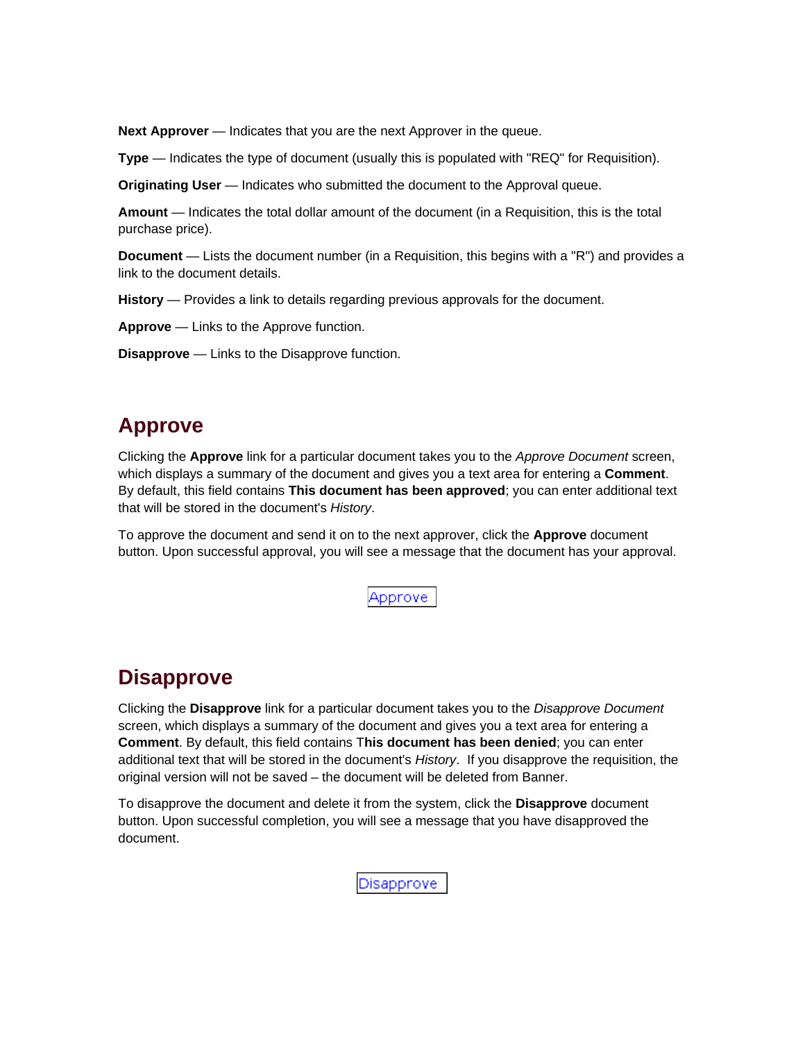**Next Approver** — Indicates that you are the next Approver in the queue.

**Type** — Indicates the type of document (usually this is populated with "REQ" for Requisition).

**Originating User** — Indicates who submitted the document to the Approval queue.

**Amount** — Indicates the total dollar amount of the document (in a Requisition, this is the total purchase price).

**Document** — Lists the document number (in a Requisition, this begins with a "R") and provides a link to the document details.

**History** — Provides a link to details regarding previous approvals for the document.

**Approve** — Links to the Approve function.

**Disapprove** — Links to the Disapprove function.

### **Approve**

Clicking the **Approve** link for a particular document takes you to the *Approve Document* screen, which displays a summary of the document and gives you a text area for entering a **Comment**. By default, this field contains **This document has been approved**; you can enter additional text that will be stored in the document's *History*.

To approve the document and send it on to the next approver, click the **Approve** document button. Upon successful approval, you will see a message that the document has your approval.

Approve

## **Disapprove**

Clicking the **Disapprove** link for a particular document takes you to the *Disapprove Document* screen, which displays a summary of the document and gives you a text area for entering a **Comment**. By default, this field contains T**his document has been denied**; you can enter additional text that will be stored in the document's *History*. If you disapprove the requisition, the original version will not be saved – the document will be deleted from Banner.

To disapprove the document and delete it from the system, click the **Disapprove** document button. Upon successful completion, you will see a message that you have disapproved the document.

Disapprove